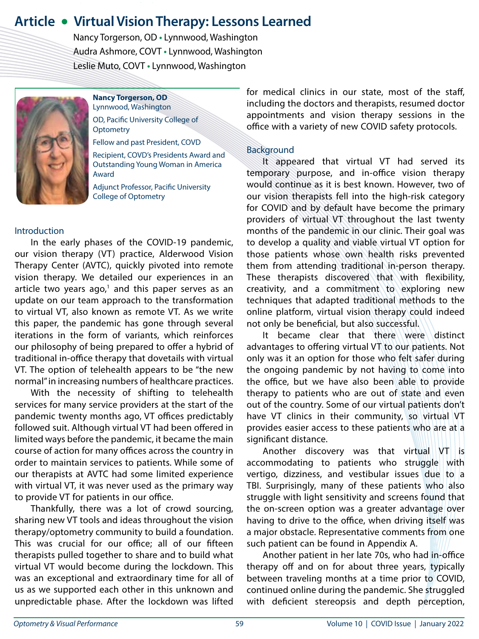# **Article • Virtual Vision Therapy: Lessons Learned**

 Nancy Torgerson, OD **•** Lynnwood, Washington Audra Ashmore, COVT **•** Lynnwood, Washington Leslie Muto, COVT **•** Lynnwood, Washington



**Nancy Torgerson, OD** Lynnwood, Washington OD, Pacific University College of **Optometry** Fellow and past President, COVD

Recipient, COVD's Presidents Award and Outstanding Young Woman in America Award

Adjunct Professor, Pacific University College of Optometry

#### Introduction

In the early phases of the COVID-19 pandemic, our vision therapy (VT) practice, Alderwood Vision Therapy Center (AVTC), quickly pivoted into remote vision therapy. We detailed our experiences in an article two years ago, $1$  and this paper serves as an update on our team approach to the transformation to virtual VT, also known as remote VT. As we write this paper, the pandemic has gone through several iterations in the form of variants, which reinforces our philosophy of being prepared to offer a hybrid of traditional in-office therapy that dovetails with virtual VT. The option of telehealth appears to be "the new normal" in increasing numbers of healthcare practices.

With the necessity of shifting to telehealth services for many service providers at the start of the pandemic twenty months ago, VT offices predictably followed suit. Although virtual VT had been offered in limited ways before the pandemic, it became the main course of action for many offices across the country in order to maintain services to patients. While some of our therapists at AVTC had some limited experience with virtual VT, it was never used as the primary way to provide VT for patients in our office.

Thankfully, there was a lot of crowd sourcing, sharing new VT tools and ideas throughout the vision therapy/optometry community to build a foundation. This was crucial for our office; all of our fifteen therapists pulled together to share and to build what virtual VT would become during the lockdown. This was an exceptional and extraordinary time for all of us as we supported each other in this unknown and unpredictable phase. After the lockdown was lifted for medical clinics in our state, most of the staff, including the doctors and therapists, resumed doctor appointments and vision therapy sessions in the office with a variety of new COVID safety protocols.

#### Background

It appeared that virtual VT had served its temporary purpose, and in-office vision therapy would continue as it is best known. However, two of our vision therapists fell into the high-risk category for COVID and by default have become the primary providers of virtual VT throughout the last twenty months of the pandemic in our clinic. Their goal was to develop a quality and viable virtual VT option for those patients whose own health risks prevented them from attending traditional in-person therapy. These therapists discovered that with flexibility, creativity, and a commitment to exploring new techniques that adapted traditional methods to the online platform, virtual vision therapy could indeed not only be beneficial, but also successful.

It became clear that there were distinct advantages to offering virtual VT to our patients. Not only was it an option for those who felt safer during the ongoing pandemic by not having to come into the office, but we have also been able to provide therapy to patients who are out of state and even out of the country. Some of our virtual patients don't have VT clinics in their community, so virtual VT provides easier access to these patients who are at a significant distance.

Another discovery was that virtual VT is accommodating to patients who struggle with vertigo, dizziness, and vestibular issues due to a TBI. Surprisingly, many of these patients who also struggle with light sensitivity and screens found that the on-screen option was a greater advantage over having to drive to the office, when driving itself was a major obstacle. Representative comments from one such patient can be found in Appendix A.

Another patient in her late 70s, who had in-office therapy off and on for about three years, typically between traveling months at a time prior to COVID, continued online during the pandemic. She struggled with deficient stereopsis and depth perception,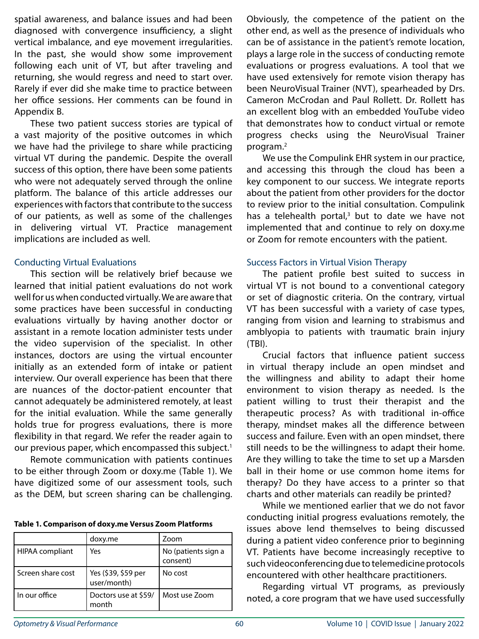spatial awareness, and balance issues and had been diagnosed with convergence insufficiency, a slight vertical imbalance, and eye movement irregularities. In the past, she would show some improvement following each unit of VT, but after traveling and returning, she would regress and need to start over. Rarely if ever did she make time to practice between her office sessions. Her comments can be found in Appendix B.

These two patient success stories are typical of a vast majority of the positive outcomes in which we have had the privilege to share while practicing virtual VT during the pandemic. Despite the overall success of this option, there have been some patients who were not adequately served through the online platform. The balance of this article addresses our experiences with factors that contribute to the success of our patients, as well as some of the challenges in delivering virtual VT. Practice management implications are included as well.

#### Conducting Virtual Evaluations

This section will be relatively brief because we learned that initial patient evaluations do not work well for us when conducted virtually. We are aware that some practices have been successful in conducting evaluations virtually by having another doctor or assistant in a remote location administer tests under the video supervision of the specialist. In other instances, doctors are using the virtual encounter initially as an extended form of intake or patient interview. Our overall experience has been that there are nuances of the doctor-patient encounter that cannot adequately be administered remotely, at least for the initial evaluation. While the same generally holds true for progress evaluations, there is more flexibility in that regard. We refer the reader again to our previous paper, which encompassed this subject.<sup>1</sup>

Remote communication with patients continues to be either through Zoom or doxy.me (Table 1). We have digitized some of our assessment tools, such as the DEM, but screen sharing can be challenging.

| Table 1. Comparison of doxy.me Versus Zoom Platforms |  |  |  |
|------------------------------------------------------|--|--|--|
|------------------------------------------------------|--|--|--|

|                   | doxy.me                            | Zoom                            |
|-------------------|------------------------------------|---------------------------------|
| HIPAA compliant   | Yes                                | No (patients sign a<br>consent) |
| Screen share cost | Yes (\$39, \$59 per<br>user/month) | No cost                         |
| In our office     | Doctors use at \$59/<br>month      | Most use Zoom                   |

Obviously, the competence of the patient on the other end, as well as the presence of individuals who can be of assistance in the patient's remote location, plays a large role in the success of conducting remote evaluations or progress evaluations. A tool that we have used extensively for remote vision therapy has been NeuroVisual Trainer (NVT), spearheaded by Drs. Cameron McCrodan and Paul Rollett. Dr. Rollett has an excellent blog with an embedded YouTube video that demonstrates how to conduct virtual or remote progress checks using the NeuroVisual Trainer program.2

We use the Compulink EHR system in our practice, and accessing this through the cloud has been a key component to our success. We integrate reports about the patient from other providers for the doctor to review prior to the initial consultation. Compulink has a telehealth portal,<sup>3</sup> but to date we have not implemented that and continue to rely on doxy.me or Zoom for remote encounters with the patient.

#### Success Factors in Virtual Vision Therapy

The patient profile best suited to success in virtual VT is not bound to a conventional category or set of diagnostic criteria. On the contrary, virtual VT has been successful with a variety of case types, ranging from vision and learning to strabismus and amblyopia to patients with traumatic brain injury (TBI).

Crucial factors that influence patient success in virtual therapy include an open mindset and the willingness and ability to adapt their home environment to vision therapy as needed. Is the patient willing to trust their therapist and the therapeutic process? As with traditional in-office therapy, mindset makes all the difference between success and failure. Even with an open mindset, there still needs to be the willingness to adapt their home. Are they willing to take the time to set up a Marsden ball in their home or use common home items for therapy? Do they have access to a printer so that charts and other materials can readily be printed?

While we mentioned earlier that we do not favor conducting initial progress evaluations remotely, the issues above lend themselves to being discussed during a patient video conference prior to beginning VT. Patients have become increasingly receptive to such videoconferencing due to telemedicine protocols encountered with other healthcare practitioners.

Regarding virtual VT programs, as previously noted, a core program that we have used successfully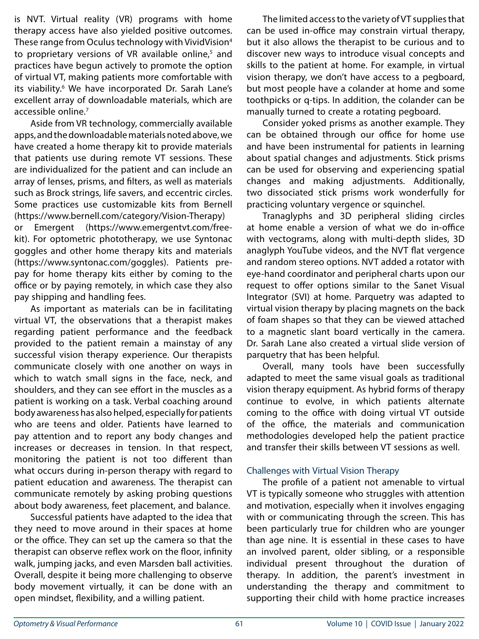is NVT. Virtual reality (VR) programs with home therapy access have also yielded positive outcomes. These range from Oculus technology with VividVision<sup>4</sup> to proprietary versions of VR available online,<sup>5</sup> and practices have begun actively to promote the option of virtual VT, making patients more comfortable with its viability.<sup>6</sup> We have incorporated Dr. Sarah Lane's excellent array of downloadable materials, which are accessible online.7

Aside from VR technology, commercially available apps, and the downloadable materials noted above, we have created a home therapy kit to provide materials that patients use during remote VT sessions. These are individualized for the patient and can include an array of lenses, prisms, and filters, as well as materials such as Brock strings, life savers, and eccentric circles. Some practices use customizable kits from Bernell (https://www.bernell.com/category/Vision-Therapy) or Emergent (https://www.emergentvt.com/freekit). For optometric phototherapy, we use Syntonac goggles and other home therapy kits and materials (https://www.syntonac.com/goggles). Patients prepay for home therapy kits either by coming to the office or by paying remotely, in which case they also pay shipping and handling fees.

As important as materials can be in facilitating virtual VT, the observations that a therapist makes regarding patient performance and the feedback provided to the patient remain a mainstay of any successful vision therapy experience. Our therapists communicate closely with one another on ways in which to watch small signs in the face, neck, and shoulders, and they can see effort in the muscles as a patient is working on a task. Verbal coaching around body awareness has also helped, especially for patients who are teens and older. Patients have learned to pay attention and to report any body changes and increases or decreases in tension. In that respect, monitoring the patient is not too different than what occurs during in-person therapy with regard to patient education and awareness. The therapist can communicate remotely by asking probing questions about body awareness, feet placement, and balance.

Successful patients have adapted to the idea that they need to move around in their spaces at home or the office. They can set up the camera so that the therapist can observe reflex work on the floor, infinity walk, jumping jacks, and even Marsden ball activities. Overall, despite it being more challenging to observe body movement virtually, it can be done with an open mindset, flexibility, and a willing patient.

The limited access to the variety of VT supplies that can be used in-office may constrain virtual therapy, but it also allows the therapist to be curious and to discover new ways to introduce visual concepts and skills to the patient at home. For example, in virtual vision therapy, we don't have access to a pegboard, but most people have a colander at home and some toothpicks or q-tips. In addition, the colander can be manually turned to create a rotating pegboard.

Consider yoked prisms as another example. They can be obtained through our office for home use and have been instrumental for patients in learning about spatial changes and adjustments. Stick prisms can be used for observing and experiencing spatial changes and making adjustments. Additionally, two dissociated stick prisms work wonderfully for practicing voluntary vergence or squinchel.

Tranaglyphs and 3D peripheral sliding circles at home enable a version of what we do in-office with vectograms, along with multi-depth slides, 3D anaglyph YouTube videos, and the NVT flat vergence and random stereo options. NVT added a rotator with eye-hand coordinator and peripheral charts upon our request to offer options similar to the Sanet Visual Integrator (SVI) at home. Parquetry was adapted to virtual vision therapy by placing magnets on the back of foam shapes so that they can be viewed attached to a magnetic slant board vertically in the camera. Dr. Sarah Lane also created a virtual slide version of parquetry that has been helpful.

Overall, many tools have been successfully adapted to meet the same visual goals as traditional vision therapy equipment. As hybrid forms of therapy continue to evolve, in which patients alternate coming to the office with doing virtual VT outside of the office, the materials and communication methodologies developed help the patient practice and transfer their skills between VT sessions as well.

### Challenges with Virtual Vision Therapy

The profile of a patient not amenable to virtual VT is typically someone who struggles with attention and motivation, especially when it involves engaging with or communicating through the screen. This has been particularly true for children who are younger than age nine. It is essential in these cases to have an involved parent, older sibling, or a responsible individual present throughout the duration of therapy. In addition, the parent's investment in understanding the therapy and commitment to supporting their child with home practice increases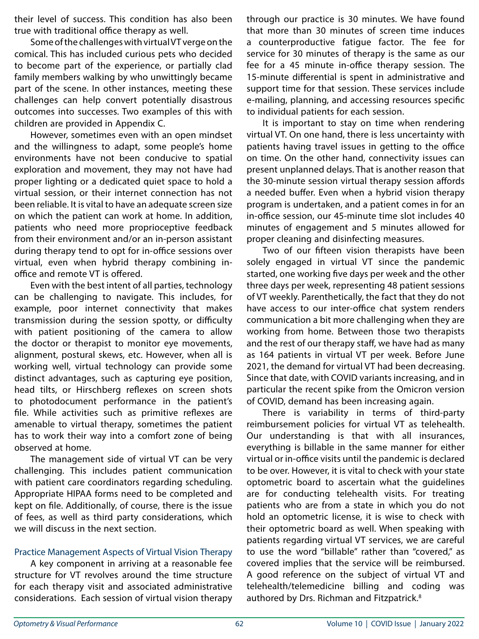their level of success. This condition has also been true with traditional office therapy as well.

Some of the challenges with virtual VT verge on the comical. This has included curious pets who decided to become part of the experience, or partially clad family members walking by who unwittingly became part of the scene. In other instances, meeting these challenges can help convert potentially disastrous outcomes into successes. Two examples of this with children are provided in Appendix C.

However, sometimes even with an open mindset and the willingness to adapt, some people's home environments have not been conducive to spatial exploration and movement, they may not have had proper lighting or a dedicated quiet space to hold a virtual session, or their internet connection has not been reliable. It is vital to have an adequate screen size on which the patient can work at home. In addition, patients who need more proprioceptive feedback from their environment and/or an in-person assistant during therapy tend to opt for in-office sessions over virtual, even when hybrid therapy combining inoffice and remote VT is offered.

Even with the best intent of all parties, technology can be challenging to navigate. This includes, for example, poor internet connectivity that makes transmission during the session spotty, or difficulty with patient positioning of the camera to allow the doctor or therapist to monitor eye movements, alignment, postural skews, etc. However, when all is working well, virtual technology can provide some distinct advantages, such as capturing eye position, head tilts, or Hirschberg reflexes on screen shots to photodocument performance in the patient's file. While activities such as primitive reflexes are amenable to virtual therapy, sometimes the patient has to work their way into a comfort zone of being observed at home.

The management side of virtual VT can be very challenging. This includes patient communication with patient care coordinators regarding scheduling. Appropriate HIPAA forms need to be completed and kept on file. Additionally, of course, there is the issue of fees, as well as third party considerations, which we will discuss in the next section.

#### Practice Management Aspects of Virtual Vision Therapy

A key component in arriving at a reasonable fee structure for VT revolves around the time structure for each therapy visit and associated administrative considerations. Each session of virtual vision therapy through our practice is 30 minutes. We have found that more than 30 minutes of screen time induces a counterproductive fatigue factor. The fee for service for 30 minutes of therapy is the same as our fee for a 45 minute in-office therapy session. The 15-minute differential is spent in administrative and support time for that session. These services include e-mailing, planning, and accessing resources specific to individual patients for each session.

It is important to stay on time when rendering virtual VT. On one hand, there is less uncertainty with patients having travel issues in getting to the office on time. On the other hand, connectivity issues can present unplanned delays. That is another reason that the 30-minute session virtual therapy session affords a needed buffer. Even when a hybrid vision therapy program is undertaken, and a patient comes in for an in-office session, our 45-minute time slot includes 40 minutes of engagement and 5 minutes allowed for proper cleaning and disinfecting measures.

Two of our fifteen vision therapists have been solely engaged in virtual VT since the pandemic started, one working five days per week and the other three days per week, representing 48 patient sessions of VT weekly. Parenthetically, the fact that they do not have access to our inter-office chat system renders communication a bit more challenging when they are working from home. Between those two therapists and the rest of our therapy staff, we have had as many as 164 patients in virtual VT per week. Before June 2021, the demand for virtual VT had been decreasing. Since that date, with COVID variants increasing, and in particular the recent spike from the Omicron version of COVID, demand has been increasing again.

There is variability in terms of third-party reimbursement policies for virtual VT as telehealth. Our understanding is that with all insurances, everything is billable in the same manner for either virtual or in-office visits until the pandemic is declared to be over. However, it is vital to check with your state optometric board to ascertain what the guidelines are for conducting telehealth visits. For treating patients who are from a state in which you do not hold an optometric license, it is wise to check with their optometric board as well. When speaking with patients regarding virtual VT services, we are careful to use the word "billable" rather than "covered," as covered implies that the service will be reimbursed. A good reference on the subject of virtual VT and telehealth/telemedicine billing and coding was authored by Drs. Richman and Fitzpatrick.<sup>8</sup>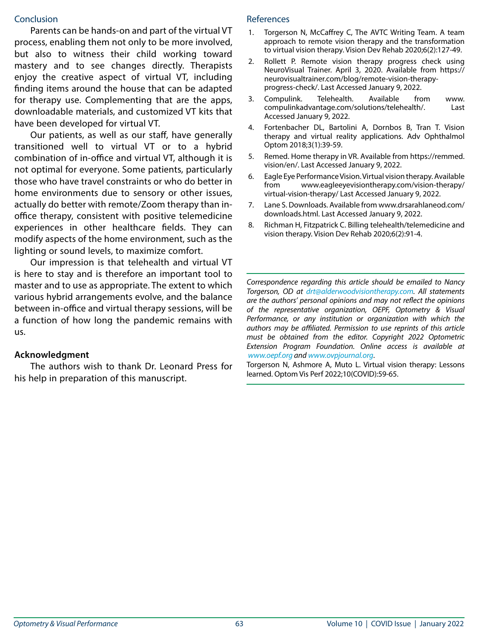#### **Conclusion**

Parents can be hands-on and part of the virtual VT process, enabling them not only to be more involved, but also to witness their child working toward mastery and to see changes directly. Therapists enjoy the creative aspect of virtual VT, including finding items around the house that can be adapted for therapy use. Complementing that are the apps, downloadable materials, and customized VT kits that have been developed for virtual VT.

Our patients, as well as our staff, have generally transitioned well to virtual VT or to a hybrid combination of in-office and virtual VT, although it is not optimal for everyone. Some patients, particularly those who have travel constraints or who do better in home environments due to sensory or other issues, actually do better with remote/Zoom therapy than inoffice therapy, consistent with positive telemedicine experiences in other healthcare fields. They can modify aspects of the home environment, such as the lighting or sound levels, to maximize comfort.

Our impression is that telehealth and virtual VT is here to stay and is therefore an important tool to master and to use as appropriate. The extent to which various hybrid arrangements evolve, and the balance between in-office and virtual therapy sessions, will be a function of how long the pandemic remains with us.

#### **Acknowledgment**

The authors wish to thank Dr. Leonard Press for his help in preparation of this manuscript.

#### References

- 1. Torgerson N, McCaffrey C, The AVTC Writing Team. A team approach to remote vision therapy and the transformation to virtual vision therapy. Vision Dev Rehab 2020;6(2):127-49.
- 2. Rollett P. Remote vision therapy progress check using NeuroVisual Trainer. April 3, 2020. Available from https:// neurovisualtrainer.com/blog/remote-vision-therapyprogress-check/. Last Accessed January 9, 2022.
- 3. Compulink. Telehealth. Available from www. compulinkadvantage.com/solutions/telehealth/. Last Accessed January 9, 2022.
- 4. Fortenbacher DL, Bartolini A, Dornbos B, Tran T. Vision therapy and virtual reality applications. Adv Ophthalmol Optom 2018;3(1):39-59.
- 5. Remed. Home therapy in VR. Available from https://remmed. vision/en/. Last Accessed January 9, 2022.
- 6. Eagle Eye Performance Vision. Virtual vision therapy. Available from www.eagleeyevisiontherapy.com/vision-therapy/ virtual-vision-therapy/ Last Accessed January 9, 2022.
- 7. Lane S. Downloads. Available from www.drsarahlaneod.com/ downloads.html. Last Accessed January 9, 2022.
- 8. Richman H, Fitzpatrick C. Billing telehealth/telemedicine and vision therapy. Vision Dev Rehab 2020;6(2):91-4.

*Correspondence regarding this article should be emailed to Nancy Torgerson, OD at drt@alderwoodvisiontherapy.com. All statements are the authors' personal opinions and may not reflect the opinions of the representative organization, OEPF, Optometry & Visual Performance, or any institution or organization with which the authors may be affiliated. Permission to use reprints of this article must be obtained from the editor. Copyright 2022 Optometric Extension Program Foundation. Online access is available at www.oepf.org and www.ovpjournal.org*.

Torgerson N, Ashmore A, Muto L. Virtual vision therapy: Lessons learned. Optom Vis Perf 2022;10(COVID):59-65.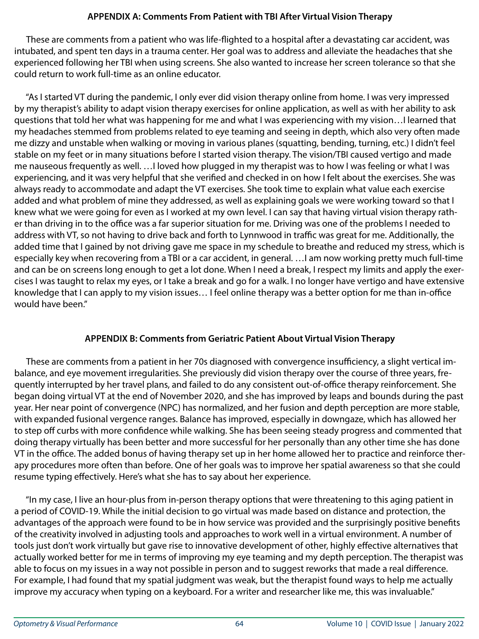# **APPENDIX A: Comments From Patient with TBI After Virtual Vision Therapy**

 These are comments from a patient who was life-flighted to a hospital after a devastating car accident, was intubated, and spent ten days in a trauma center. Her goal was to address and alleviate the headaches that she experienced following her TBI when using screens. She also wanted to increase her screen tolerance so that she could return to work full-time as an online educator.

 "As I started VT during the pandemic, I only ever did vision therapy online from home. I was very impressed by my therapist's ability to adapt vision therapy exercises for online application, as well as with her ability to ask questions that told her what was happening for me and what I was experiencing with my vision…I learned that my headaches stemmed from problems related to eye teaming and seeing in depth, which also very often made me dizzy and unstable when walking or moving in various planes (squatting, bending, turning, etc.) I didn't feel stable on my feet or in many situations before I started vision therapy. The vision/TBI caused vertigo and made me nauseous frequently as well. …I loved how plugged in my therapist was to how I was feeling or what I was experiencing, and it was very helpful that she verified and checked in on how I felt about the exercises. She was always ready to accommodate and adapt the VT exercises. She took time to explain what value each exercise added and what problem of mine they addressed, as well as explaining goals we were working toward so that I knew what we were going for even as I worked at my own level. I can say that having virtual vision therapy rather than driving in to the office was a far superior situation for me. Driving was one of the problems I needed to address with VT, so not having to drive back and forth to Lynnwood in traffic was great for me. Additionally, the added time that I gained by not driving gave me space in my schedule to breathe and reduced my stress, which is especially key when recovering from a TBI or a car accident, in general. …I am now working pretty much full-time and can be on screens long enough to get a lot done. When I need a break, I respect my limits and apply the exercises I was taught to relax my eyes, or I take a break and go for a walk. I no longer have vertigo and have extensive knowledge that I can apply to my vision issues… I feel online therapy was a better option for me than in-office would have been."

# **APPENDIX B: Comments from Geriatric Patient About Virtual Vision Therapy**

 These are comments from a patient in her 70s diagnosed with convergence insufficiency, a slight vertical imbalance, and eye movement irregularities. She previously did vision therapy over the course of three years, frequently interrupted by her travel plans, and failed to do any consistent out-of-office therapy reinforcement. She began doing virtual VT at the end of November 2020, and she has improved by leaps and bounds during the past year. Her near point of convergence (NPC) has normalized, and her fusion and depth perception are more stable, with expanded fusional vergence ranges. Balance has improved, especially in downgaze, which has allowed her to step off curbs with more confidence while walking. She has been seeing steady progress and commented that doing therapy virtually has been better and more successful for her personally than any other time she has done VT in the office. The added bonus of having therapy set up in her home allowed her to practice and reinforce therapy procedures more often than before. One of her goals was to improve her spatial awareness so that she could resume typing effectively. Here's what she has to say about her experience.

 "In my case, I live an hour-plus from in-person therapy options that were threatening to this aging patient in a period of COVID-19. While the initial decision to go virtual was made based on distance and protection, the advantages of the approach were found to be in how service was provided and the surprisingly positive benefits of the creativity involved in adjusting tools and approaches to work well in a virtual environment. A number of tools just don't work virtually but gave rise to innovative development of other, highly effective alternatives that actually worked better for me in terms of improving my eye teaming and my depth perception. The therapist was able to focus on my issues in a way not possible in person and to suggest reworks that made a real difference. For example, I had found that my spatial judgment was weak, but the therapist found ways to help me actually improve my accuracy when typing on a keyboard. For a writer and researcher like me, this was invaluable."